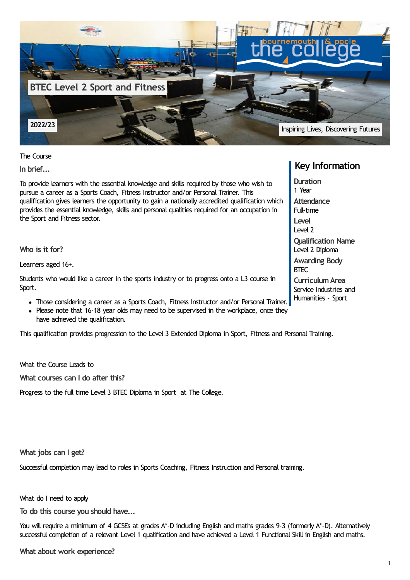

The Course

**In brief...**

To provide learners with the essential knowledge and skills required by those who wish to pursue a career as a Sports Coach, Fitness Instructor and/or Personal Trainer. This qualification gives learners the opportunity to gain a nationally accredited qualification which provides the essential knowledge, skills and personal qualities required for an occupation in the Sport and Fitness sector.

**Who is it for?**

Learners aged 16+.

Students who would like a career in the sports industry or to progress onto a L3 course in Sport.

- Those considering a career as a Sports Coach, Fitness Instructor and/or Personal Trainer.
- Please note that 16-18 year olds may need to be supervised in the workplace, once they have achieved the qualification.

This qualification provides progression to the Level 3 Extended Diploma in Sport, Fitness and Personal Training.

What the Course Leads to

**What courses can I do after this?**

Progress to the full time Level 3 BTEC Diploma in Sport at The College.

**What jobs can I get?**

Successful completion may lead to roles in Sports Coaching, Fitness Instruction and Personal training.

What do I need to apply

**To do this course you should have...**

You will require a minimum of 4 GCSEs at grades A<sup>\*</sup>-D including English and maths grades 9-3 (formerly A<sup>\*</sup>-D). Alternatively successful completion of a relevant Level 1 qualification and have achieved a Level 1 Functional Skill in English and maths.

## **Key Information**

**Duration** 1 Year **Attendance** Full-time **Level** Level 2 **Qualification Name** Level 2 Diploma **Awarding Body** BTEC **CurriculumArea** Service Industries and

Humanities - Sport